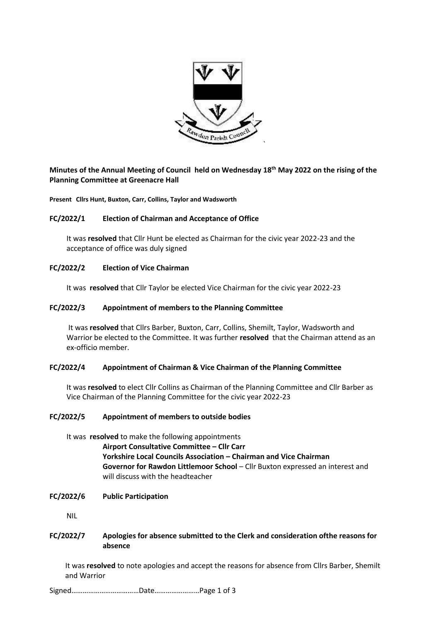

# **Minutes of the Annual Meeting of Council held on Wednesday 18th May 2022 on the rising of the Planning Committee at Greenacre Hall**

**Present Cllrs Hunt, Buxton, Carr, Collins, Taylor and Wadsworth**

# **FC/2022/1 Election of Chairman and Acceptance of Office**

It was **resolved** that Cllr Hunt be elected as Chairman for the civic year 2022-23 and the acceptance of office was duly signed

# **FC/2022/2 Election of Vice Chairman**

It was **resolved** that Cllr Taylor be elected Vice Chairman for the civic year 2022-23

# **FC/2022/3 Appointment of members to the Planning Committee**

It was **resolved** that Cllrs Barber, Buxton, Carr, Collins, Shemilt, Taylor, Wadsworth and Warrior be elected to the Committee. It was further **resolved** that the Chairman attend as an ex-officio member.

# **FC/2022/4 Appointment of Chairman & Vice Chairman of the Planning Committee**

It was **resolved** to elect Cllr Collins as Chairman of the Planning Committee and Cllr Barber as Vice Chairman of the Planning Committee for the civic year 2022-23

### **FC/2022/5 Appointment of members to outside bodies**

It was **resolved** to make the following appointments **Airport Consultative Committee – Cllr Carr Yorkshire Local Councils Association – Chairman and Vice Chairman Governor for Rawdon Littlemoor School** – Cllr Buxton expressed an interest and will discuss with the headteacher

### **FC/2022/6 Public Participation**

NIL

# **FC/2022/7 Apologies for absence submitted to the Clerk and consideration ofthe reasons for absence**

It was **resolved** to note apologies and accept the reasons for absence from Cllrs Barber, Shemilt and Warrior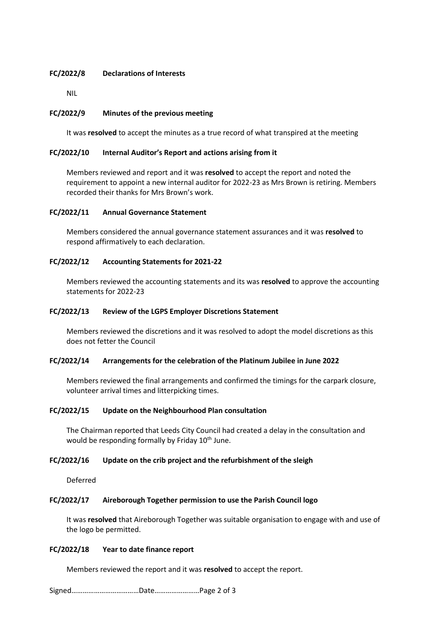# **FC/2022/8 Declarations of Interests**

NIL

# **FC/2022/9 Minutes of the previous meeting**

It was **resolved** to accept the minutes as a true record of what transpired at the meeting

# **FC/2022/10 Internal Auditor's Report and actions arising from it**

Members reviewed and report and it was **resolved** to accept the report and noted the requirement to appoint a new internal auditor for 2022-23 as Mrs Brown is retiring. Members recorded their thanks for Mrs Brown's work.

# **FC/2022/11 Annual Governance Statement**

Members considered the annual governance statement assurances and it was **resolved** to respond affirmatively to each declaration.

### **FC/2022/12 Accounting Statements for 2021-22**

Members reviewed the accounting statements and its was **resolved** to approve the accounting statements for 2022-23

### **FC/2022/13 Review of the LGPS Employer Discretions Statement**

Members reviewed the discretions and it was resolved to adopt the model discretions as this does not fetter the Council

### **FC/2022/14 Arrangements for the celebration of the Platinum Jubilee in June 2022**

Members reviewed the final arrangements and confirmed the timings for the carpark closure, volunteer arrival times and litterpicking times.

### **FC/2022/15 Update on the Neighbourhood Plan consultation**

The Chairman reported that Leeds City Council had created a delay in the consultation and would be responding formally by Friday 10<sup>th</sup> June.

### **FC/2022/16 Update on the crib project and the refurbishment of the sleigh**

Deferred

### **FC/2022/17 Aireborough Together permission to use the Parish Council logo**

It was **resolved** that Aireborough Together was suitable organisation to engage with and use of the logo be permitted.

### **FC/2022/18 Year to date finance report**

Members reviewed the report and it was **resolved** to accept the report.

Signed………………………………Date……………………Page 2 of 3